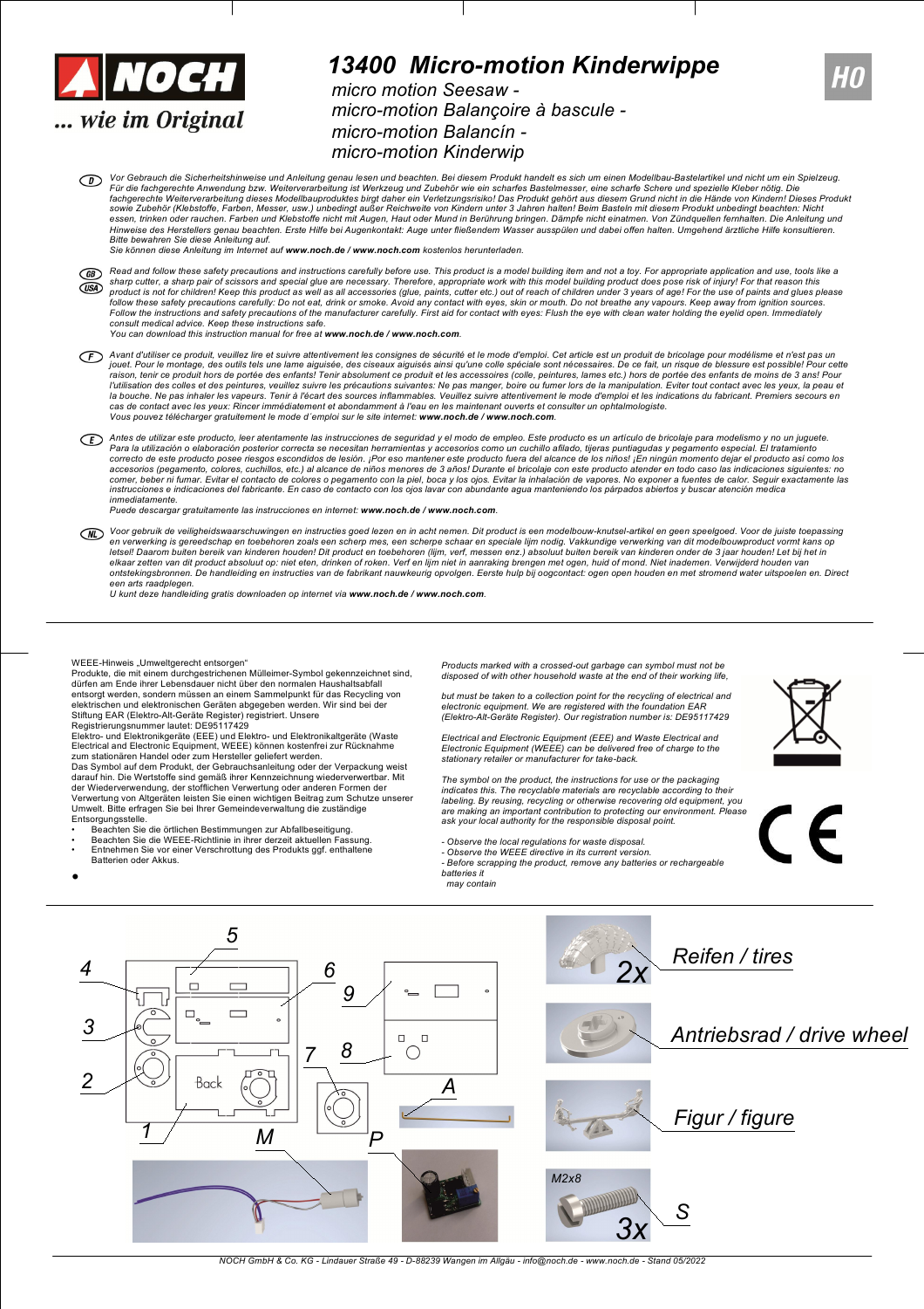

## *13400 Micro-motion Kinderwippe*

*micro motion Seesaw micro-motion Balançoire à bascule micro-motion Balancín micro-motion Kinderwip*

Vor Gebrauch die Sicherheitshinweise und Anleitung genau lesen und beachten. Bei diesem Produkt handelt es sich um einen Modellbau-Bastelartikel und nicht um ein Spielzeug.<br>Für die fachgerechte Anwendung bzw. Weiterverarbe fachgerechte Weiterverarbeitung dieses Modellbauproduktes birgt daher ein Verletzungsrisiko! Das Produkt gehört aus diesen Grund nicht in die Hände von Kindern! Dieses Produkt<br>sowie Zubehör (Klebstoffe, Farben, Messer, usw Hinweise des Herstellers genau beachten. Erste Hilfe bei Augenkontakt: Auge unter fließendem Wasser ausspülen und dabei offen halten. Umgehend ärztliche Hilfe konsultieren.<br>Bitte bewahren Sie diese Anleitung auf.

*Sie können diese Anleitung im Internet auf www.noch.de / www.noch.com kostenlos herunterladen.*

Read and follow these safety precautions and instructions carefully before use. This product is a model building item and not a toy. For appropriate application and use, tools like a (GB) sharp cutter, a sharp pair of scissors and special glue are necessary. Therefore, appropriate work with this model building product does pose risk of injury! For that reason this<br>product is not for children! Keep this prod  $(1)$ Follow the instructions and safety precautions of the manufacturer carefully. First aid for contact with eyes: Flush the eye with clean water holding the eyelid open. Immediately *consult medical advice. Keep these instructions safe.*

*You can download this instruction manual for free at www.noch.de / www.noch.com.*

- Avant d'utiliser ce produit, veuillez lire et suivre attentivement les consignes de sécurité et le mode d'emploi. Cet article est un produit de bricolage pour modélisme et n'est pas un jouet. Pour le montage, des outils tels une lame aiguisée, des ciseaux aiguisés ainsi qu'une colle spéciale sont nécessaires. De ce fait, un risque de blessure est possible! Pour cette<br>raison, tenir ce produit hors de port l'utilisation des colles et des peintures, veuillez suivre les précautions suivantes: Ne pas manger, boire ou fumer lors de la manipulation. Eviter tout contact avec les yeux, la peau et<br>la bouche. Ne pas inhaler les vapeu Vous pouvez télécharger gratuitement le mode d'emploi sur le site internet: www.noch.de / www.noch.com.
- Antes de utilizar este producto, leer atentamente las instrucciones de seguridad y el modo de empleo. Este producto es un artículo de bricolaje para modelismo y no un juquete. Para la utilización o elaboración posterior correcta se necesitan herramientas y accesorios como un cuchillo afilado, tijeras puntiagudas y pegamento especial. El tratamiento<br>correcto de este producto posee riesgos escondi accesorios (pegamento, colores, cuchillos, etc.) al alcance de niños menores de 3 años! Durante el bricolaje con este producto atender en todo caso las indicaciones siguientes: no<br>comer, beber ni fumar. Evitar el contacto *inmediatamente.*

*Puede descargar gratuitamente las instrucciones en internet: www.noch.de / www.noch.com.*

 $\mathbb{Z}$ Voor gebruik de veiligheidswaarschuwingen en instructies goed lezen en in acht nemen. Dit product is een modelbouw-knutsel-artikel en geen speelgoed. Voor de juiste toepassing en verwerking is gereedschap en toebehoren zoals een scherp mes, een scherpe schaar en speciale lijm nodig. Vakkundige verwerking van dit modelbouwproduct vormt kans op<br>Ietsel! Daarom buiten bereik van kinderen houden! Dit elkaar zetten van dit product absoluut op: niet eten, drinken of roken. Verf en lijm niet in aanraking brengen met ogen, huid of mond. Niet inademen. Verwijderd houden van<br>ontstekingsbronnen. De handleiding en instructies *een arts raadplegen. U kunt deze handleiding gratis downloaden op internet via www.noch.de / www.noch.com.*

WEEE-Hinweis "Umweltgerecht entsorgen

Produkte, die mit einem durchgestrichenen Mülleimer-Symbol gekennzeichnet sind,<br>dürfen am Ende ihrer Lebensdauer nicht über den normalen Haushaltsabfall<br>entsorgt werden, sondern müssen an einem Sammelpunkt für das Recyclin elektrischen und elektronischen Geräten abgegeben werden. Wir sind bei der<br>Stiftung EAR (Elektro-Alt-Geräte Register) registriert. Unsere<br>Registrierungsnummer lautet: DE95117429

Elektro- und Elektronikgeräte (EEE) und Elektro- und Elektronikaltgeräte (Waste Electrical and Electronic Equipment, WEEE) können kostenfrei zur Rücknahme zum stationären Handel oder zum Hersteller geliefert werden.<br>Das Symbol auf dem Produkt, der Gebrauchsanleitung oder der Verpackung weist<br>darauf hin. Die Wertstoffe sind gemäß ihrer Kennzeichnung wiederverwertbar. Mit

der Wiederverwendung, der stofflichen Verwertung oder anderen Formen der Verwertung von Altgeräten leisten Sie einen wichtigen Beitrag zum Schutze unserer Umwelt. Bitte erfragen Sie bei Ihrer Gemeindeverwaltung die zuständige Entsorgungsstelle. • Beachten Sie die örtlichen Bestimmungen zur Abfallbeseitigung.

- Beachten Sie die WEEE-Richtlinie in ihrer derzeit aktuellen Fassung. *•* Entnehmen Sie vor einer Verschrottung des Produkts ggf. enthaltene Batterien oder Akkus.
- *•*

Products marked with a crossed-out garbage can symbol must not be<br>disposed of with other household waste at the end of their working life,

*but must be taken to a collection point for the recycling of electrical and electronic equipment. We are registered with the foundation EAR (Elektro-Alt-Geräte Register). Our registration number is: DE95117429*

*Electrical and Electronic Equipment (EEE) and Waste Electrical and* Electronic Equipment (WEEE) can be delivered free of charge to the<br>stationary retailer or manufacturer for take-back.

The symbol on the product, the instructions for use or the packaging<br>indicates this. The recyclable materials are recyclable according to their labeling. By reusing, recycling or otherwise recovering old equipment, you<br>are making an important contribution to protecting our environment. Please<br>ask your local authority for the responsible disposal point.

*- Observe the local regulations for waste disposal. - Observe the WEEE directive in its current version.*

*- Before scrapping the product, remove any batteries or rechargeable batteries it*







*may contain*

NOCH GmbH & Co. KG - Lindauer Straße 49 - D-88239 Wangen im Allgäu - info@noch.de - www.noch.de - Stand 05/2022